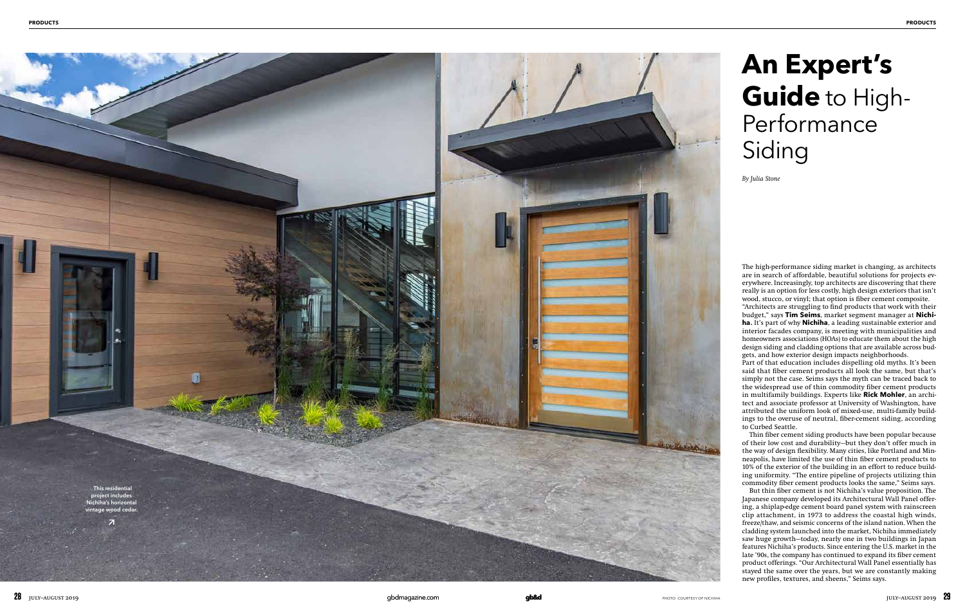# **An Expert's Guide** to High-**Performance** Siding

*By Julia Stone*

The high-performance siding market is changing, as architects are in search of affordable, beautiful solutions for projects ev erywhere. Increasingly, top architects are discovering that there really is an option for less costly, high design exteriors that isn't wood, stucco, or vinyl; that option is fiber cement composite.

"Architects are struggling to find products that work with their budget," says **Tim Seims**, market segment manager at **Nichi ha** . It's part of why **Nichiha**, a leading sustainable exterior and interior facades company, is meeting with municipalities and homeowners associations (HOAs) to educate them about the high design siding and cladding options that are available across bud gets, and how exterior design impacts neighborhoods.

Part of that education includes dispelling old myths. It's been said that fiber cement products all look the same, but that's simply not the case. Seims says the myth can be traced back to the widespread use of thin commodity fiber cement products in multifamily buildings. Experts like **Rick Mohler**, an archi tect and associate professor at University of Washington, have attributed the uniform look of mixed-use, multi-family build ings to the overuse of neutral, fiber-cement siding, according to Curbed Seattle.

Thin fiber cement siding products have been popular because of their low cost and durability—but they don't offer much in the way of design flexibility. Many cities, like Portland and Min neapolis, have limited the use of thin fiber cement products to 10% of the exterior of the building in an effort to reduce build ing uniformity. "The entire pipeline of projects utilizing thin commodity fiber cement products looks the same," Seims says.

But thin fiber cement is not Nichiha's value proposition. The Japanese company developed its Architectural Wall Panel offer ing, a shiplap-edge cement board panel system with rainscreen clip attachment, in 1973 to address the coastal high winds, freeze/thaw, and seismic concerns of the island nation. When the cladding system launched into the market, Nichiha immediately saw huge growth—today, nearly one in two buildings in Japan features Nichiha's products. Since entering the U.S. market in the late '90s, the company has continued to expand its fiber cement product offerings. "Our Architectural Wall Panel essentially has stayed the same over the years, but we are constantly making new profiles, textures, and sheens," Seims says.